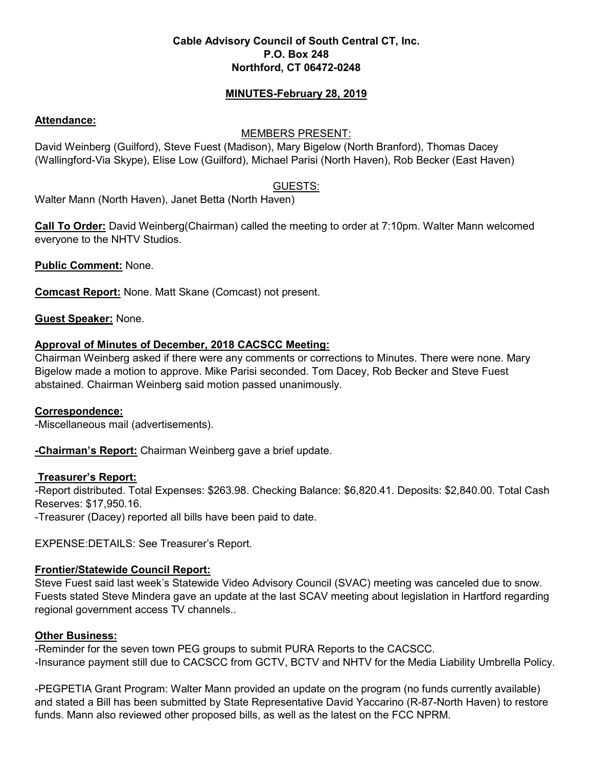## **Cable Advisory Council of South Central CT, Inc. P.O. Box 248 Northford, CT 06472-0248**

## **MINUTES-February 28, 2019**

### **Attendance:**

## MEMBERS PRESENT:

David Weinberg (Guilford), Steve Fuest (Madison), Mary Bigelow (North Branford), Thomas Dacey (Wallingford-Via Skype), Elise Low (Guilford), Michael Parisi (North Haven), Rob Becker (East Haven)

## GUESTS:

Walter Mann (North Haven), Janet Betta (North Haven)

**Call To Order:** David Weinberg(Chairman) called the meeting to order at 7:10pm. Walter Mann welcomed everyone to the NHTV Studios.

**Public Comment:** None.

**Comcast Report:** None. Matt Skane (Comcast) not present.

**Guest Speaker:** None.

## **Approval of Minutes of December, 2018 CACSCC Meeting:**

Chairman Weinberg asked if there were any comments or corrections to Minutes. There were none. Mary Bigelow made a motion to approve. Mike Parisi seconded. Tom Dacey, Rob Becker and Steve Fuest abstained. Chairman Weinberg said motion passed unanimously.

### **Correspondence:**

-Miscellaneous mail (advertisements).

**-Chairman's Report:** Chairman Weinberg gave a brief update.

### **Treasurer's Report:**

-Report distributed. Total Expenses: \$263.98. Checking Balance: \$6,820.41. Deposits: \$2,840.00. Total Cash Reserves: \$17,950.16.

-Treasurer (Dacey) reported all bills have been paid to date.

EXPENSE:DETAILS: See Treasurer's Report.

# **Frontier/Statewide Council Report:**

Steve Fuest said last week's Statewide Video Advisory Council (SVAC) meeting was canceled due to snow. Fuests stated Steve Mindera gave an update at the last SCAV meeting about legislation in Hartford regarding regional government access TV channels..

# **Other Business:**

-Reminder for the seven town PEG groups to submit PURA Reports to the CACSCC. -Insurance payment still due to CACSCC from GCTV, BCTV and NHTV for the Media Liability Umbrella Policy.

-PEGPETIA Grant Program: Walter Mann provided an update on the program (no funds currently available) and stated a Bill has been submitted by State Representative David Yaccarino (R-87-North Haven) to restore funds. Mann also reviewed other proposed bills, as well as the latest on the FCC NPRM.